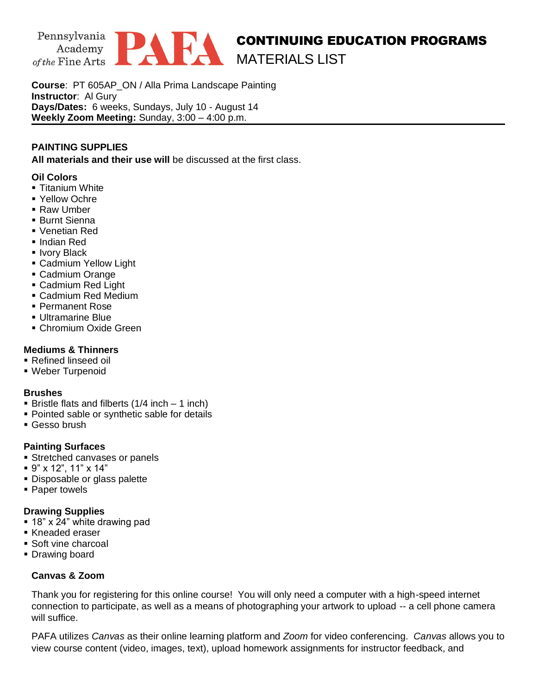

**Course**: PT 605AP\_ON / Alla Prima Landscape Painting **Instructor**: Al Gury **Days/Dates:** 6 weeks, Sundays, July 10 - August 14 **Weekly Zoom Meeting:** Sunday, 3:00 – 4:00 p.m.

# **PAINTING SUPPLIES**

**All materials and their use will** be discussed at the first class.

## **Oil Colors**

- **E** Titanium White
- Yellow Ochre
- Raw Umber
- Burnt Sienna
- Venetian Red
- Indian Red
- **Ivory Black**
- **Example 1** Cadmium Yellow Light
- Cadmium Orange
- Cadmium Red Light
- Cadmium Red Medium
- Permanent Rose
- Ultramarine Blue
- **Chromium Oxide Green**

## **Mediums & Thinners**

- Refined linseed oil
- Weber Turpenoid

#### **Brushes**

- **Example 1** Bristle flats and filberts  $(1/4$  inch 1 inch)
- Pointed sable or synthetic sable for details
- **Gesso brush**

#### **Painting Surfaces**

- **EXTENDED CANCERS** Streamer's
- 9" x 12", 11" x 14"
- **Disposable or glass palette**
- Paper towels

#### **Drawing Supplies**

- $\overline{P}$  18" x 24" white drawing pad
- Kneaded eraser
- Soft vine charcoal
- **Drawing board**

#### **Canvas & Zoom**

Thank you for registering for this online course! You will only need a computer with a high-speed internet connection to participate, as well as a means of photographing your artwork to upload -- a cell phone camera will suffice.

PAFA utilizes *Canvas* as their online learning platform and *Zoom* for video conferencing. *Canvas* allows you to view course content (video, images, text), upload homework assignments for instructor feedback, and